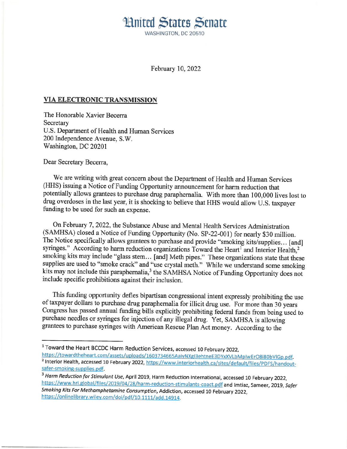## **Hnited States Senate** WASHINGTON, DC 20510

February 10, 2022

## **VIA ELECTRONIC TRANSMISSION**

The Honorable Xavier Becerra Secretary U.S. Department of Health and Human Services 200 Independence Avenue, S.W. Washington, DC 20201

Dear Secretary Becerra,

We are writing with great concern about the Department of Health and Human Services (HHS) issuing a Notice of Funding Opportunity announcement for harm reduction that potentially allows grantees to purchase drug paraphernalia. With more than 100,000 lives lost to drug overdoses in the last year, it is shocking to believe that HHS would allow U.S. taxpayer funding to be used for such an expense.

On February 7, 2022, the Substance Abuse and Mental Health Services Administration (SAMHSA) closed a Notice of Funding Opportunity (No. SP-22-001) for nearly \$30 million. The Notice specifically allows grantees to purchase and provide "smoking kits/supplies... [and] syringes." According to harm reduction organizations Toward the Heart<sup>1</sup> and Interior Health,<sup>2</sup> smoking kits may include "glass stem... [and] Meth pipes." These organizations state that these supplies are used to "smoke crack" and "use crystal meth." While we understand some smoking kits may not include this paraphernalia,<sup>3</sup> the SAMHSA Notice of Funding Opportunity does not include specific prohibitions against their inclusion.

This funding opportunity defies bipartisan congressional intent expressly prohibiting the use of taxpayer dollars to purchase drug paraphernalia for illicit drug use. For more than 30 years Congress has passed annual funding bills explicitly prohibiting federal funds from being used to purchase needles or syringes for injection of any illegal drug. Yet, SAMHSA is allowing grantees to purchase syringes with American Rescue Plan Act money. According to the

<sup>&</sup>lt;sup>1</sup> Toward the Heart BCCDC Harm Reduction Services, accessed 10 February 2022,

https://towardtheheart.com/assets/uploads/1603734665AaiyNXgI3ehtneE3DYxXVLbMpIwErO8i80bVIGp.pdf. <sup>2</sup> Interior Health, accessed 10 February 2022, https://www.interiorhealth.ca/sites/default/files/PDFS/handoutsafer-smoking-supplies.pdf.

<sup>&</sup>lt;sup>3</sup> Harm Reduction for Stimulant Use, April 2019, Harm Reduction International, accessed 10 February 2022, https://www.hri.global/files/2019/04/28/harm-reduction-stimulants-coact.pdf and Imtiaz, Sameer, 2019, Safer Smoking Kits For Methamphetamine Consumption, Addiction, accessed 10 February 2022, https://onlinelibrary.wiley.com/doi/pdf/10.1111/add.14914.